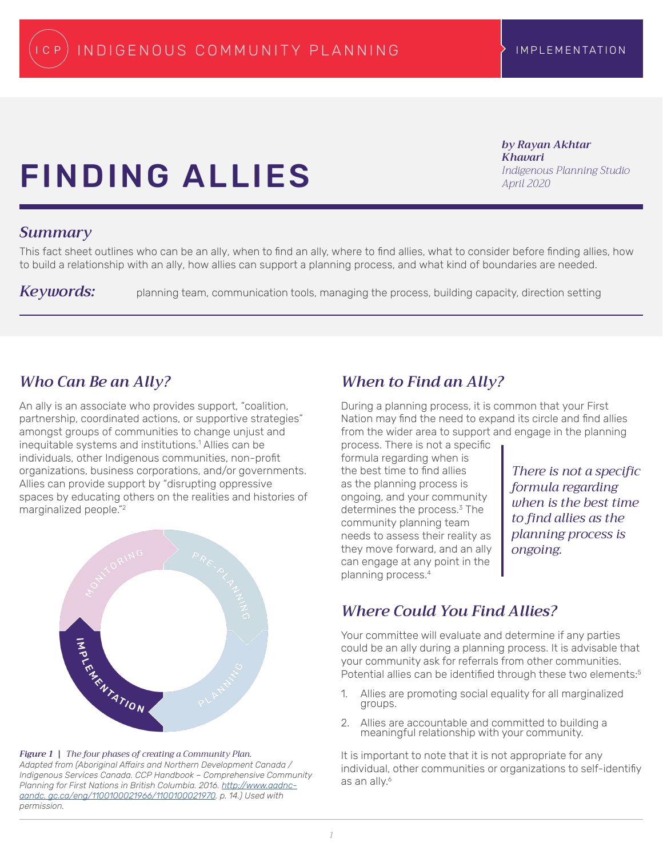*by Rayan Akhtar* 

*Indigenous Planning Studio*

*Khavari*

*April 2020*

# Finding Allies

### *Summary*

This fact sheet outlines who can be an ally, when to find an ally, where to find allies, what to consider before finding allies, how to build a relationship with an ally, how allies can support a planning process, and what kind of boundaries are needed.

*Keywords:* planning team, communication tools, managing the process, building capacity, direction setting

# *Who Can Be an Ally?*

An ally is an associate who provides support, "coalition, partnership, coordinated actions, or supportive strategies" amongst groups of communities to change unjust and inequitable systems and institutions.<sup>1</sup> Allies can be individuals, other Indigenous communities, non-profit organizations, business corporations, and/or governments. Allies can provide support by "disrupting oppressive spaces by educating others on the realities and histories of marginalized people."<sup>2</sup>



### *Figure 1 | The four phases of creating a Community Plan.*

*Adapted from (Aboriginal Affairs and Northern Development Canada / Indigenous Services Canada. CCP Handbook – Comprehensive Community Planning for First Nations in British Columbia. 2016. [http://www.aadnc](http://www.aadnc-aandc. gc.ca/eng/1100100021966/1100100021970)[aandc. gc.ca/eng/1100100021966/1100100021970](http://www.aadnc-aandc. gc.ca/eng/1100100021966/1100100021970). p. 14.) Used with permission.*

# *When to Find an Ally?*

During a planning process, it is common that your First Nation may find the need to expand its circle and find allies from the wider area to support and engage in the planning

process. There is not a specific formula regarding when is the best time to find allies as the planning process is ongoing, and your community determines the process.<sup>3</sup> The community planning team needs to assess their reality as they move forward, and an ally can engage at any point in the planning process.<sup>4</sup>

*There is not a specific formula regarding when is the best time to find allies as the planning process is ongoing.*

# *Where Could You Find Allies?*

Your committee will evaluate and determine if any parties could be an ally during a planning process. It is advisable that your community ask for referrals from other communities. Potential allies can be identified through these two elements:<sup>5</sup>

- 1. Allies are promoting social equality for all marginalized groups.
- 2. Allies are accountable and committed to building a meaningful relationship with your community.

It is important to note that it is not appropriate for any individual, other communities or organizations to self-identifiy as an ally.<sup>6</sup>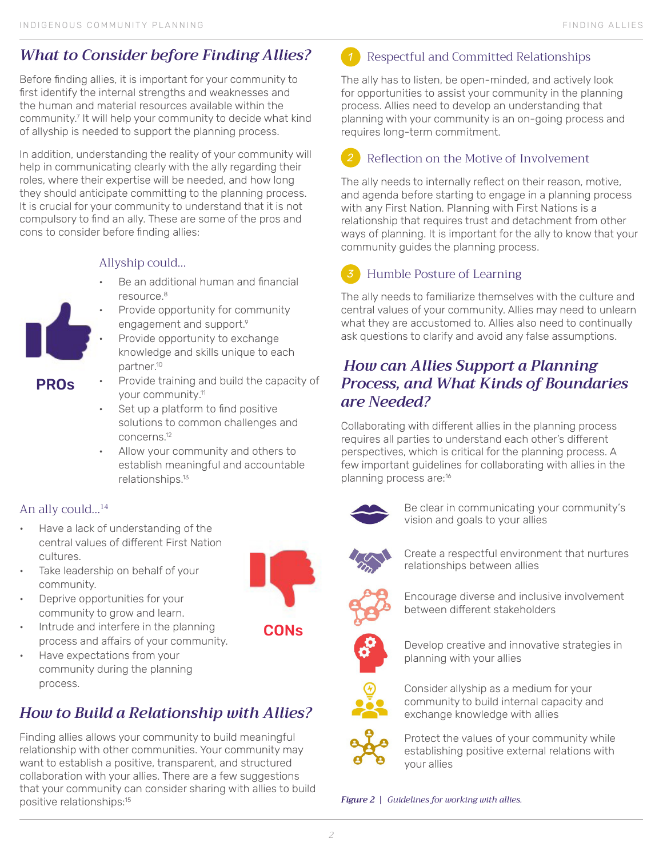# *What to Consider before Finding Allies?*

Before finding allies, it is important for your community to first identify the internal strengths and weaknesses and the human and material resources available within the community.<sup>7</sup> It will help your community to decide what kind of allyship is needed to support the planning process.

In addition, understanding the reality of your community will help in communicating clearly with the ally regarding their roles, where their expertise will be needed, and how long they should anticipate committing to the planning process. It is crucial for your community to understand that it is not compulsory to find an ally. These are some of the pros and cons to consider before finding allies:

## Allyship could…

- Be an additional human and financial resource.<sup>8</sup>
- Provide opportunity for community engagement and support.9
- Provide opportunity to exchange knowledge and skills unique to each partner.<sup>10</sup>
- PROs
- Provide training and build the capacity of your community.<sup>11</sup>
	- Set up a platform to find positive solutions to common challenges and concerns.<sup>12</sup>
	- Allow your community and others to establish meaningful and accountable relationships.<sup>13</sup>

### An ally could…14

- Have a lack of understanding of the central values of different First Nation cultures.
- Take leadership on behalf of your community.
- Deprive opportunities for your community to grow and learn.
- Intrude and interfere in the planning process and affairs of your community.
- Have expectations from your community during the planning process.

# *How to Build a Relationship with Allies?*

Finding allies allows your community to build meaningful relationship with other communities. Your community may want to establish a positive, transparent, and structured collaboration with your allies. There are a few suggestions that your community can consider sharing with allies to build positive relationships:<sup>15</sup>

**CONs** 



The ally has to listen, be open-minded, and actively look for opportunities to assist your community in the planning process. Allies need to develop an understanding that planning with your community is an on-going process and requires long-term commitment.

### Reflection on the Motive of Involvement *2*

The ally needs to internally reflect on their reason, motive, and agenda before starting to engage in a planning process with any First Nation. Planning with First Nations is a relationship that requires trust and detachment from other ways of planning. It is important for the ally to know that your community guides the planning process.

#### Humble Posture of Learning *3*

The ally needs to familiarize themselves with the culture and central values of your community. Allies may need to unlearn what they are accustomed to. Allies also need to continually ask questions to clarify and avoid any false assumptions.

# *How can Allies Support a Planning Process, and What Kinds of Boundaries are Needed?*

Collaborating with different allies in the planning process requires all parties to understand each other's different perspectives, which is critical for the planning process. A few important guidelines for collaborating with allies in the planning process are:<sup>16</sup>



Be clear in communicating your community's vision and goals to your allies



Create a respectful environment that nurtures relationships between allies



Encourage diverse and inclusive involvement between different stakeholders



Develop creative and innovative strategies in planning with your allies



Consider allyship as a medium for your community to build internal capacity and exchange knowledge with allies



Protect the values of your community while establishing positive external relations with your allies